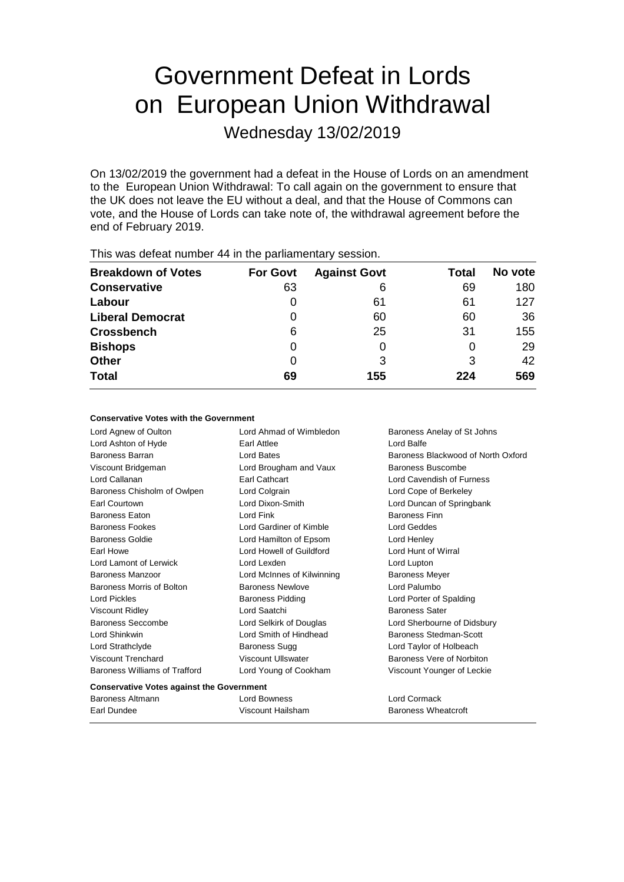# Government Defeat in Lords on European Union Withdrawal

Wednesday 13/02/2019

On 13/02/2019 the government had a defeat in the House of Lords on an amendment to the European Union Withdrawal: To call again on the government to ensure that the UK does not leave the EU without a deal, and that the House of Commons can vote, and the House of Lords can take note of, the withdrawal agreement before the end of February 2019.

| <b>Breakdown of Votes</b> | <b>For Govt</b> | <b>Against Govt</b> | Total | No vote |
|---------------------------|-----------------|---------------------|-------|---------|
| <b>Conservative</b>       | 63              | 6                   | 69    | 180     |
| Labour                    |                 | 61                  | 61    | 127     |
| <b>Liberal Democrat</b>   |                 | 60                  | 60    | 36      |
| <b>Crossbench</b>         | 6               | 25                  | 31    | 155     |
| <b>Bishops</b>            | 0               | 0                   | O     | 29      |
| <b>Other</b>              | 0               | 3                   | 3     | 42      |
| <b>Total</b>              | 69              | 155                 | 224   | 569     |
|                           |                 |                     |       |         |

This was defeat number 44 in the parliamentary session.

### **Conservative Votes with the Government**

| Lord Agnew of Oulton                             | Lord Ahmad of Wimbledon    | Baroness Anelay of St Johns        |  |  |
|--------------------------------------------------|----------------------------|------------------------------------|--|--|
| Lord Ashton of Hyde                              | Earl Attlee                | Lord Balfe                         |  |  |
| Baroness Barran                                  | <b>Lord Bates</b>          | Baroness Blackwood of North Oxford |  |  |
| Viscount Bridgeman                               | Lord Brougham and Vaux     | Baroness Buscombe                  |  |  |
| Lord Callanan                                    | <b>Earl Cathcart</b>       | Lord Cavendish of Furness          |  |  |
| Baroness Chisholm of Owlpen                      | Lord Colgrain              | Lord Cope of Berkeley              |  |  |
| <b>Earl Courtown</b>                             | Lord Dixon-Smith           | Lord Duncan of Springbank          |  |  |
| Baroness Eaton                                   | Lord Fink                  | <b>Baroness Finn</b>               |  |  |
| <b>Baroness Fookes</b>                           | Lord Gardiner of Kimble    | Lord Geddes                        |  |  |
| Baroness Goldie                                  | Lord Hamilton of Epsom     | Lord Henley                        |  |  |
| Earl Howe                                        | Lord Howell of Guildford   | Lord Hunt of Wirral                |  |  |
| Lord Lamont of Lerwick                           | Lord Lexden                | Lord Lupton                        |  |  |
| Baroness Manzoor                                 | Lord McInnes of Kilwinning | <b>Baroness Meyer</b>              |  |  |
| Baroness Morris of Bolton                        | <b>Baroness Newlove</b>    | Lord Palumbo                       |  |  |
| <b>Lord Pickles</b>                              | <b>Baroness Pidding</b>    | Lord Porter of Spalding            |  |  |
| <b>Viscount Ridley</b>                           | Lord Saatchi               | <b>Baroness Sater</b>              |  |  |
| Baroness Seccombe                                | Lord Selkirk of Douglas    | Lord Sherbourne of Didsbury        |  |  |
| Lord Shinkwin                                    | Lord Smith of Hindhead     | Baroness Stedman-Scott             |  |  |
| Lord Strathclyde                                 | Baroness Sugg              | Lord Taylor of Holbeach            |  |  |
| Viscount Trenchard                               | Viscount Ullswater         | Baroness Vere of Norbiton          |  |  |
| Baroness Williams of Trafford                    | Lord Young of Cookham      | Viscount Younger of Leckie         |  |  |
| <b>Conservative Votes against the Government</b> |                            |                                    |  |  |
| Baroness Altmann                                 | Lord Bowness               | Lord Cormack                       |  |  |
| Earl Dundee                                      | Viscount Hailsham          | <b>Baroness Wheatcroft</b>         |  |  |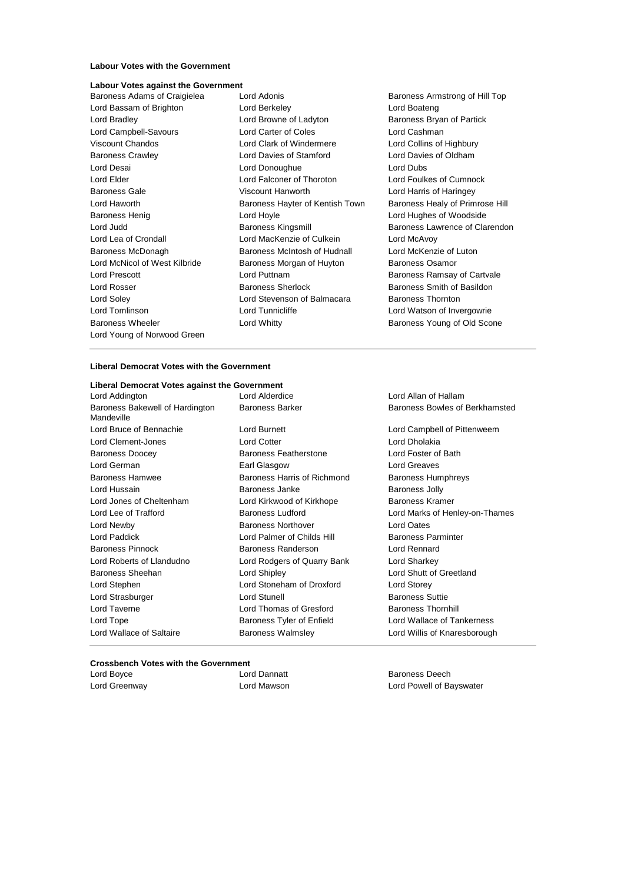#### **Labour Votes with the Government**

# **Labour Votes against the Government**

Baroness Adams of Craigielea Lord Adonis **Baroness Armstrong of Hill Top** Lord Young of Norwood Green

Lord Bassam of Brighton **Lord Berkeley Lord Boateng** Lord Boateng Lord Bradley **Lord Browne of Ladyton** Baroness Bryan of Partick Lord Campbell-Savours Lord Carter of Coles Lord Cashman Viscount Chandos Lord Clark of Windermere Lord Collins of Highbury Baroness Crawley Lord Davies of Stamford Lord Davies of Oldham Lord Desai Lord Donoughue Lord Dubs Lord Elder Lord Falconer of Thoroton Lord Foulkes of Cumnock Baroness Gale **Viscount Hanworth** Lord Harris of Haringey Lord Haworth Baroness Hayter of Kentish Town Baroness Healy of Primrose Hill Baroness Henig Lord Hoyle Lord Hughes of Woodside Lord Lea of Crondall Lord MacKenzie of Culkein Lord McAvoy Baroness McDonagh Baroness McIntosh of Hudnall Lord McKenzie of Luton Lord McNicol of West Kilbride Baroness Morgan of Huyton Baroness Osamor Lord Prescott **Lord Puttnam** Baroness Ramsay of Cartvale Lord Rosser Baroness Sherlock Baroness Smith of Basildon Lord Soley Lord Stevenson of Balmacara Baroness Thornton Lord Tomlinson **Lord Tunnicliffe** Lord Tunnicliffe Lord Watson of Invergowrie Baroness Wheeler **Lord Whitty Baroness Young of Old Scone** 

Lord Judd Baroness Kingsmill Baroness Lawrence of Clarendon

#### **Liberal Democrat Votes with the Government**

#### **Liberal Democrat Votes against the Government**

Lord Addington Lord Alderdice Lord Allan of Hallam Baroness Bakewell of Hardington Mandeville Lord Bruce of Bennachie Lord Burnett Lord Campbell of Pittenweem Lord Clement-Jones Lord Cotter Lord Dholakia Baroness Doocey Baroness Featherstone Lord Foster of Bath Lord German Earl Glasgow Lord Greaves Baroness Hamwee Baroness Harris of Richmond Baroness Humphreys Lord Hussain Baroness Janke Baroness Jolly Lord Jones of Cheltenham Lord Kirkwood of Kirkhope Baroness Kramer Lord Lee of Trafford **Baroness Ludford** Lord Marks of Henley-on-Thames Lord Newby Baroness Northover Lord Oates Lord Paddick Lord Palmer of Childs Hill Baroness Parminter Baroness Pinnock Baroness Randerson Lord Rennard Lord Roberts of Llandudno Lord Rodgers of Quarry Bank Lord Sharkey Baroness Sheehan Lord Shipley Lord Shutt of Greetland Lord Stephen Lord Stoneham of Droxford Lord Storey Lord Strasburger **Lord Stunell** Lord Stunell Baroness Suttie Lord Taverne **Lord Thomas of Gresford** Baroness Thornhill Lord Tope **Baroness Tyler of Enfield** Lord Wallace of Tankerness Tyler of Enfield Lord Wallace of Saltaire Baroness Walmsley Lord Willis of Knaresborough

Baroness Barker **Baroness Bowles of Berkhamsted** 

#### **Crossbench Votes with the Government**

Lord Boyce **Lord Dannatt** Baroness Deech

Lord Greenway Lord Mawson Lord Powell of Bayswater